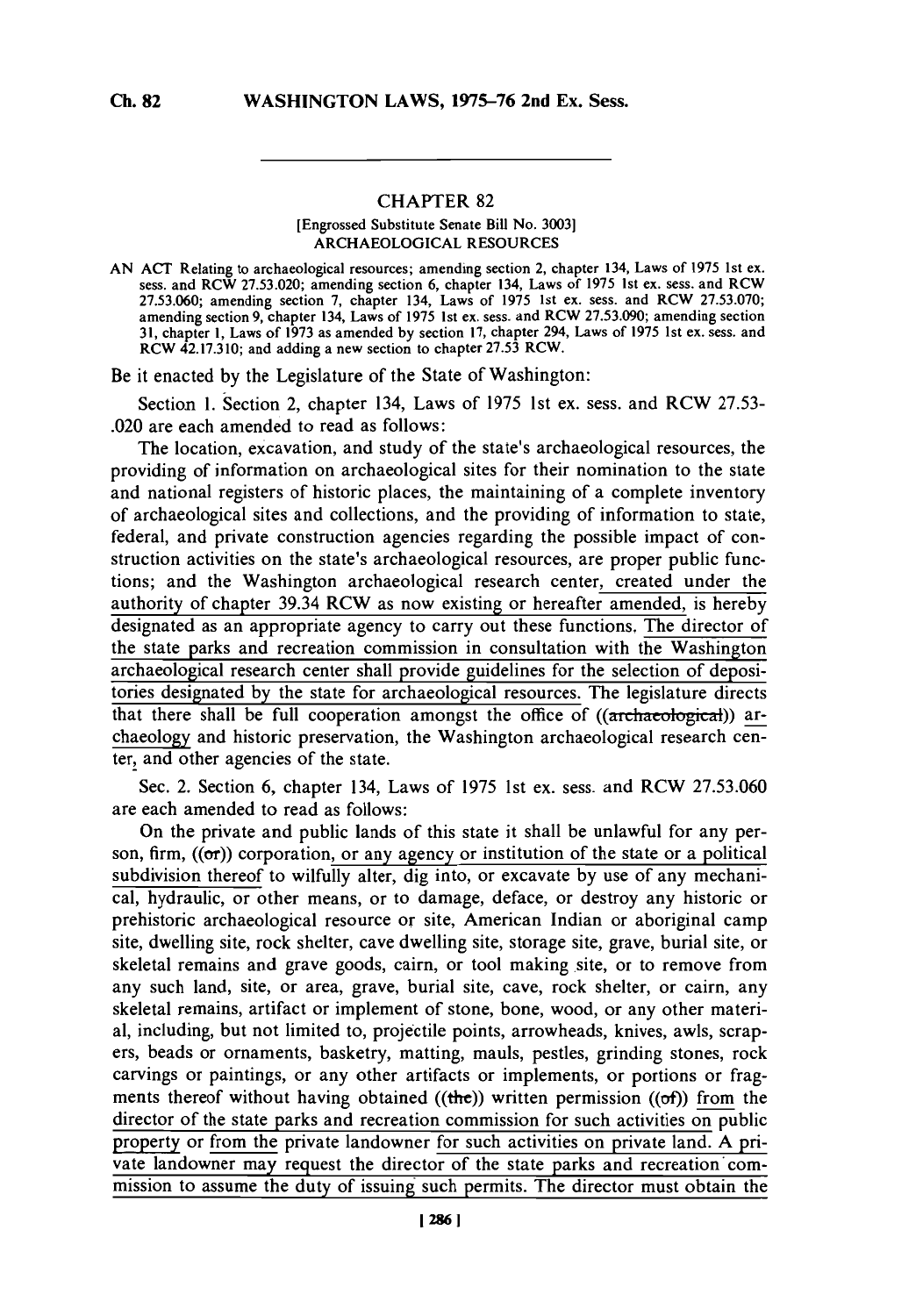## CHAPTER **82**

## [Engrossed Substitute Senate Bill No. **3003]** ARCHAEOLOGICAL **RESOURCES**

**AN ACT** Relating to archaeological resources; amending section 2, chapter 134, Laws of **1975** 1st ex. sess. and RCW **27.53.020;** amending section **6,** chapter 134, Laws of **1975** 1st ex. sess. and RCW **27.53.060;** amending section **7,** chapter 134, Laws of **1975** 1st ex. sess. and RCW *27.53.070;* amending section **9,** chapter 134, Laws of **1975** 1st ex. sess. and RCW **27.53.090;** amending section **31,** chapter **1,** Laws of **1973** as amended **by** section **17,** chapter 294, Laws of **1975** 1 st ex. sess. and RCW 42.17.3 **10;** and adding a new section to chapter **27.53** RCW.

Be it enacted **by** the Legislature of the State of Washington:

Section **1.** Section 2, chapter 134, Laws of *1975* 1st ex. sess. and RCW **27.53-** .020 are each amended to read as follows:

The location, excavation, and study of the state's archaeological resources, the providing of information on archaeological sites for their nomination to the state and national registers of historic places, the maintaining of a complete inventory of archaeological sites and collections, and the providing of information to state, federal, and private construction agencies regarding the possible impact of construction activities on the state's archaeological resources, are proper public functions; and the Washington archaeological research center,\_created under the authority of chapter 39.34 RCW as now existing or hereafter amended, is hereby designated as an appropriate agency to carry out these functions. The director of the state parks and recreation commission in consultation with the Washington archaeological research center shall provide guidelines for the selection of depositories designated **by** the state for archaeological resources. The legislature directs that there shall be full cooperation amongst the office of ((archaeological)) archaeology and historic preservation, the Washington archaeological research center, and other agencies of the state.

Sec. 2. Section **6,** chapter 134, Laws of **1975** 1st ex. sess. and RCW **27.53.060** are each amended to read as follows:

On the private and public lands of this state it shall be unlawful for any person, firm,  $((\sigma r))$  corporation, or any agency or institution of the state or a political subdivision thereof to wilfully alter, dig into, or excavate **by** use of any mechanical, hydraulic, or other means, or to damage, deface, or destroy any historic or prehistoric archaeological resource or site, American Indian or aboriginal camp site, dwelling site, rock shelter, cave dwelling site, storage site, grave, burial site, or skeletal remains and grave goods, cairn, or tool making site, or to remove from any such land, site, or area, grave, burial site, cave, rock shelter, or cairn, any skeletal remains, artifact or implement of stone, bone, wood, or any other material, including, but not limited to, projectile points, arrowheads, knives, awls, scrapers, beads or ornaments, basketry, matting, mauls, pestles, grinding stones, rock carvings or paintings, or any other artifacts or implements, or portions or fragments thereof without having obtained ((the)) written permission ((of)) from the director of the state parks and recreation commission for such activities on public property or from the private landowner for such activities on private land. **A** private landowner may request the director of the state parks and recreation'commission to assume the duty of issuing such permits. The director must obtain the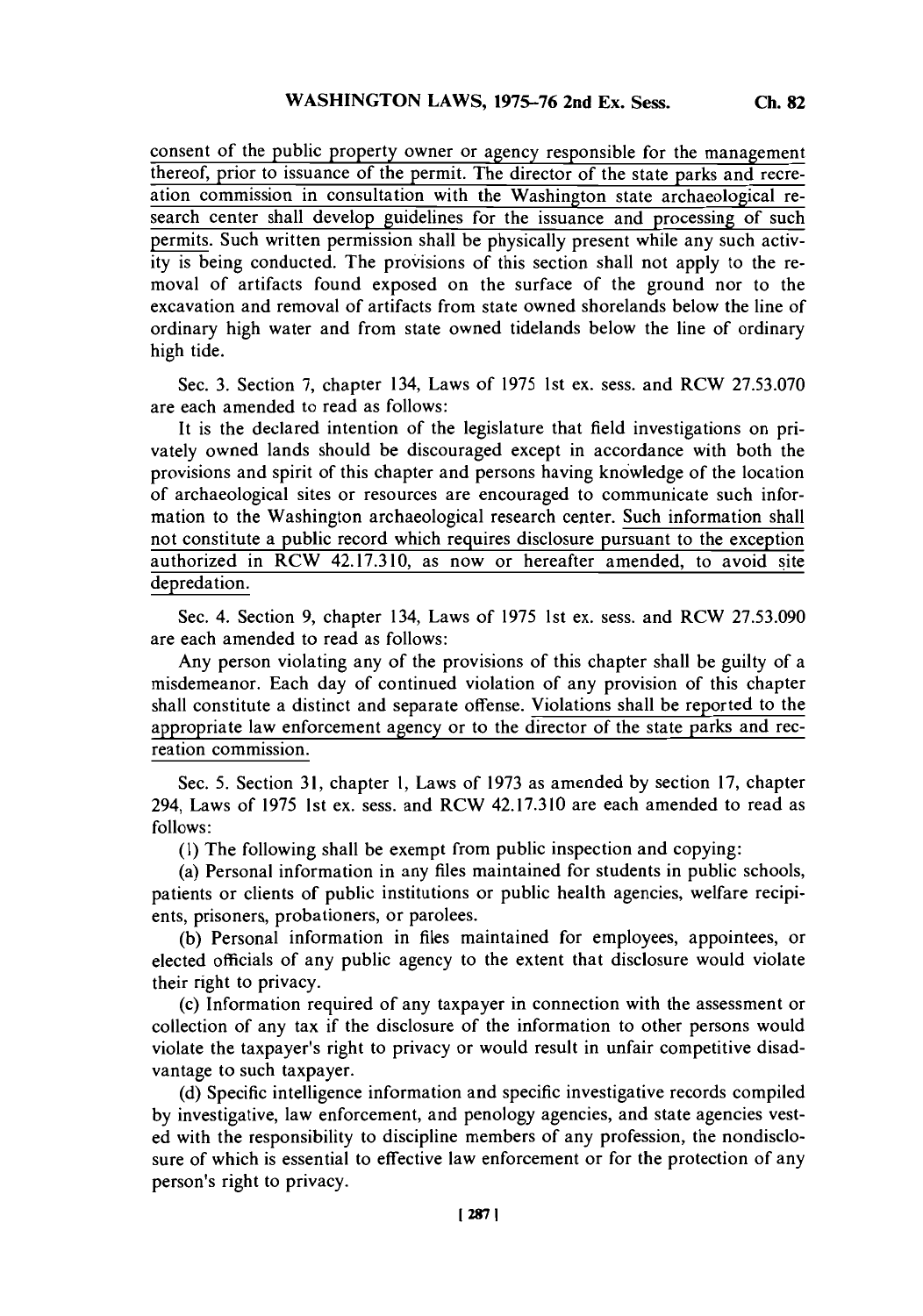consent of the public property owner or agency responsible for the management thereof, prior to issuance of the permit. The director of the state parks and recreation commission in consultation with the Washington state archaeological research center shall develop guidelines for the issuance and processing of such permits. Such written permission shall be physically present while any such activity is being conducted. The provisions of this section shall not apply to the removal of artifacts found exposed on the surface of the ground nor to the excavation and removal of artifacts from state owned shorelands below the line of ordinary high water and from state owned tidelands below the line of ordinary high tide.

Sec. **3.** Section **7,** chapter 134, Laws of *1975* 1st ex. sess. and RCW **27.53.070** are each amended to read as follows:

It is the declared intention of the legislature that field investigations on privately owned lands should be discouraged except in accordance with both the provisions and spirit of this chapter and persons having knowledge of the location of archaeological sites or resources are encouraged to communicate such information to the Washington archaeological research center. Such information shall not constitute a public record which requires disclosure pursuant to the exception authorized in RCW 42.17.310, as now or hereafter amended, to avoid site depredation.

Sec. 4. Section **9,** chapter 134, Laws of **1975** 1st ex. sess. and RCW **27.53.090** are each amended to read as follows:

Any person violating any of the provisions of this chapter shall be guilty of a misdemeanor. Each day of continued violation of any provision of this chapter shall constitute a distinct and separate offense. Violations shall be reported to the appropriate law enforcement agency or to the director of the state parks and recreation commission.

Sec. **5.** Section **31,** chapter **1,** Laws of **1973** as amended **by** section **17,** chapter 294, Laws of **1975** 1st ex. sess. and RCW 42.17.310 are each amended to read as **follows:**

**(1)** The following shall be exempt from public inspection and copying:

(a) Personal information in any files maintained for students in public schools, patients or clients of public institutions or public health agencies, welfare recipients, prisoners, probationers, or parolees.

**(b)** Personal information in files maintained for employees, appointees, or elected officials of any public agency to the extent that disclosure would violate their right to privacy.

(c) Information required of any taxpayer in connection with the assessment or collection of any tax **if** the disclosure of the information to other persons would violate the taxpayer's right to privacy or would result in unfair competitive disadvantage to such taxpayer.

**(d)** Specific intelligence information and specific investigative records compiled **by** investigative, law enforcement, and penology agencies, and state agencies vested with the responsibility to discipline members of any profession, the nondisclosure of which is essential to effective law enforcement or for the protection of any person's right to privacy.